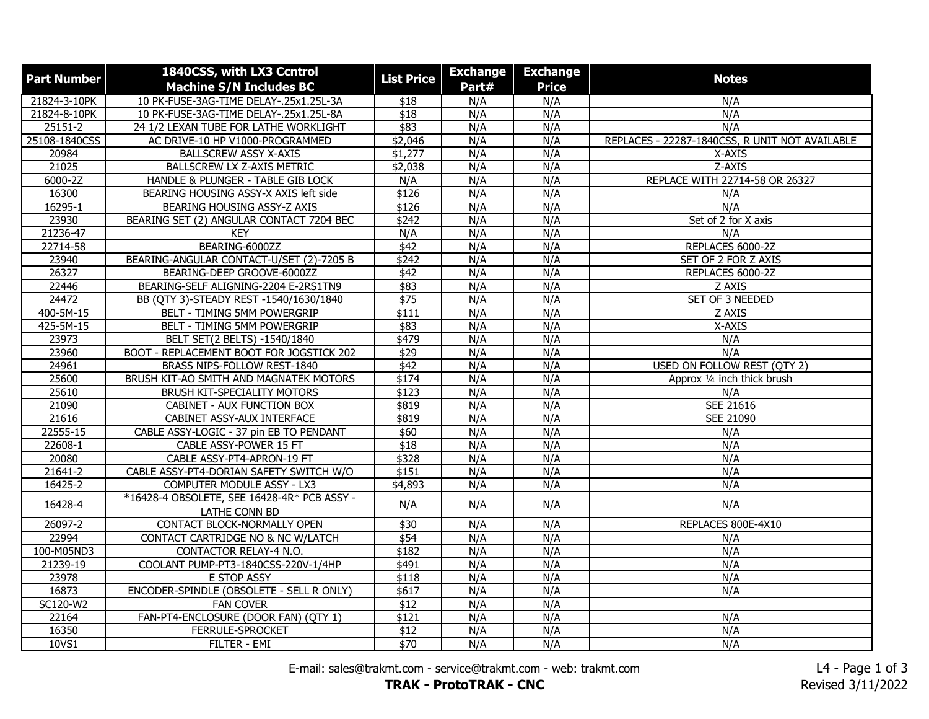| <b>Machine S/N Includes BC</b><br>Part#<br><b>Price</b><br>21824-3-10PK<br>10 PK-FUSE-3AG-TIME DELAY-.25x1.25L-3A<br>N/A<br>N/A<br>N/A<br>\$18<br>10 PK-FUSE-3AG-TIME DELAY-.25x1.25L-8A<br>N/A<br>N/A<br>N/A<br>21824-8-10PK<br>\$18<br>\$83<br>N/A<br>N/A<br>N/A<br>25151-2<br>24 1/2 LEXAN TUBE FOR LATHE WORKLIGHT<br>25108-1840CSS<br>AC DRIVE-10 HP V1000-PROGRAMMED<br>\$2,046<br>N/A<br>N/A<br>REPLACES - 22287-1840CSS, R UNIT NOT AVAILABLE<br>\$1,277<br>N/A<br>N/A<br>20984<br><b>BALLSCREW ASSY X-AXIS</b><br>X-AXIS<br>21025<br>BALLSCREW LX Z-AXIS METRIC<br>\$2,038<br>N/A<br>N/A<br>Z-AXIS<br>N/A<br>N/A<br>REPLACE WITH 22714-58 OR 26327<br>6000-2Z<br>HANDLE & PLUNGER - TABLE GIB LOCK<br>N/A<br>16300<br>BEARING HOUSING ASSY-X AXIS left side<br>\$126<br>N/A<br>N/A<br>N/A<br>16295-1<br>N/A<br>\$126<br>N/A<br>N/A<br>BEARING HOUSING ASSY-Z AXIS<br>23930<br>$\sqrt{$242}$<br>N/A<br>N/A<br>Set of 2 for X axis<br>BEARING SET (2) ANGULAR CONTACT 7204 BEC<br>N/A<br>21236-47<br>N/A<br>N/A<br>N/A<br><b>KEY</b><br>BEARING-6000ZZ<br>\$42<br>N/A<br>REPLACES 6000-2Z | <b>Part Number</b> | 1840CSS, with LX3 Ccntrol | <b>List Price</b> | <b>Exchange</b> | <b>Exchange</b> | <b>Notes</b> |
|--------------------------------------------------------------------------------------------------------------------------------------------------------------------------------------------------------------------------------------------------------------------------------------------------------------------------------------------------------------------------------------------------------------------------------------------------------------------------------------------------------------------------------------------------------------------------------------------------------------------------------------------------------------------------------------------------------------------------------------------------------------------------------------------------------------------------------------------------------------------------------------------------------------------------------------------------------------------------------------------------------------------------------------------------------------------------------------------------|--------------------|---------------------------|-------------------|-----------------|-----------------|--------------|
|                                                                                                                                                                                                                                                                                                                                                                                                                                                                                                                                                                                                                                                                                                                                                                                                                                                                                                                                                                                                                                                                                                  |                    |                           |                   |                 |                 |              |
|                                                                                                                                                                                                                                                                                                                                                                                                                                                                                                                                                                                                                                                                                                                                                                                                                                                                                                                                                                                                                                                                                                  |                    |                           |                   |                 |                 |              |
|                                                                                                                                                                                                                                                                                                                                                                                                                                                                                                                                                                                                                                                                                                                                                                                                                                                                                                                                                                                                                                                                                                  |                    |                           |                   |                 |                 |              |
|                                                                                                                                                                                                                                                                                                                                                                                                                                                                                                                                                                                                                                                                                                                                                                                                                                                                                                                                                                                                                                                                                                  |                    |                           |                   |                 |                 |              |
|                                                                                                                                                                                                                                                                                                                                                                                                                                                                                                                                                                                                                                                                                                                                                                                                                                                                                                                                                                                                                                                                                                  |                    |                           |                   |                 |                 |              |
|                                                                                                                                                                                                                                                                                                                                                                                                                                                                                                                                                                                                                                                                                                                                                                                                                                                                                                                                                                                                                                                                                                  |                    |                           |                   |                 |                 |              |
|                                                                                                                                                                                                                                                                                                                                                                                                                                                                                                                                                                                                                                                                                                                                                                                                                                                                                                                                                                                                                                                                                                  |                    |                           |                   |                 |                 |              |
|                                                                                                                                                                                                                                                                                                                                                                                                                                                                                                                                                                                                                                                                                                                                                                                                                                                                                                                                                                                                                                                                                                  |                    |                           |                   |                 |                 |              |
|                                                                                                                                                                                                                                                                                                                                                                                                                                                                                                                                                                                                                                                                                                                                                                                                                                                                                                                                                                                                                                                                                                  |                    |                           |                   |                 |                 |              |
|                                                                                                                                                                                                                                                                                                                                                                                                                                                                                                                                                                                                                                                                                                                                                                                                                                                                                                                                                                                                                                                                                                  |                    |                           |                   |                 |                 |              |
|                                                                                                                                                                                                                                                                                                                                                                                                                                                                                                                                                                                                                                                                                                                                                                                                                                                                                                                                                                                                                                                                                                  |                    |                           |                   |                 |                 |              |
|                                                                                                                                                                                                                                                                                                                                                                                                                                                                                                                                                                                                                                                                                                                                                                                                                                                                                                                                                                                                                                                                                                  |                    |                           |                   |                 |                 |              |
|                                                                                                                                                                                                                                                                                                                                                                                                                                                                                                                                                                                                                                                                                                                                                                                                                                                                                                                                                                                                                                                                                                  | 22714-58           |                           |                   |                 | N/A             |              |
| 23940<br>BEARING-ANGULAR CONTACT-U/SET (2)-7205 B<br>\$242<br>N/A<br>N/A<br>SET OF 2 FOR Z AXIS                                                                                                                                                                                                                                                                                                                                                                                                                                                                                                                                                                                                                                                                                                                                                                                                                                                                                                                                                                                                  |                    |                           |                   |                 |                 |              |
| N/A<br>N/A<br>REPLACES 6000-2Z<br>26327<br>BEARING-DEEP GROOVE-6000ZZ<br>\$42                                                                                                                                                                                                                                                                                                                                                                                                                                                                                                                                                                                                                                                                                                                                                                                                                                                                                                                                                                                                                    |                    |                           |                   |                 |                 |              |
| 22446<br>BEARING-SELF ALIGNING-2204 E-2RS1TN9<br>\$83<br>N/A<br>N/A<br>Z AXIS                                                                                                                                                                                                                                                                                                                                                                                                                                                                                                                                                                                                                                                                                                                                                                                                                                                                                                                                                                                                                    |                    |                           |                   |                 |                 |              |
| 24472<br>$\sqrt{$75}$<br>N/A<br>N/A<br>SET OF 3 NEEDED<br>BB (QTY 3)-STEADY REST -1540/1630/1840                                                                                                                                                                                                                                                                                                                                                                                                                                                                                                                                                                                                                                                                                                                                                                                                                                                                                                                                                                                                 |                    |                           |                   |                 |                 |              |
| 400-5M-15<br>\$111<br>N/A<br>N/A<br>Z AXIS<br>BELT - TIMING 5MM POWERGRIP                                                                                                                                                                                                                                                                                                                                                                                                                                                                                                                                                                                                                                                                                                                                                                                                                                                                                                                                                                                                                        |                    |                           |                   |                 |                 |              |
| 425-5M-15<br>BELT - TIMING 5MM POWERGRIP<br>\$83<br>N/A<br>N/A<br>X-AXIS                                                                                                                                                                                                                                                                                                                                                                                                                                                                                                                                                                                                                                                                                                                                                                                                                                                                                                                                                                                                                         |                    |                           |                   |                 |                 |              |
| 23973<br>$\sqrt{479}$<br>N/A<br>N/A<br>N/A<br>BELT SET(2 BELTS) -1540/1840                                                                                                                                                                                                                                                                                                                                                                                                                                                                                                                                                                                                                                                                                                                                                                                                                                                                                                                                                                                                                       |                    |                           |                   |                 |                 |              |
| \$29<br>N/A<br>23960<br>BOOT - REPLACEMENT BOOT FOR JOGSTICK 202<br>N/A<br>N/A                                                                                                                                                                                                                                                                                                                                                                                                                                                                                                                                                                                                                                                                                                                                                                                                                                                                                                                                                                                                                   |                    |                           |                   |                 |                 |              |
| 24961<br>$\sqrt{42}$<br>N/A<br>N/A<br><b>USED ON FOLLOW REST (QTY 2)</b><br>BRASS NIPS-FOLLOW REST-1840                                                                                                                                                                                                                                                                                                                                                                                                                                                                                                                                                                                                                                                                                                                                                                                                                                                                                                                                                                                          |                    |                           |                   |                 |                 |              |
| 25600<br>\$174<br>N/A<br>N/A<br>BRUSH KIT-AO SMITH AND MAGNATEK MOTORS<br>Approx 1/4 inch thick brush                                                                                                                                                                                                                                                                                                                                                                                                                                                                                                                                                                                                                                                                                                                                                                                                                                                                                                                                                                                            |                    |                           |                   |                 |                 |              |
| 25610<br>\$123<br>N/A<br>N/A<br>BRUSH KIT-SPECIALITY MOTORS<br>N/A                                                                                                                                                                                                                                                                                                                                                                                                                                                                                                                                                                                                                                                                                                                                                                                                                                                                                                                                                                                                                               |                    |                           |                   |                 |                 |              |
| 21090<br>CABINET - AUX FUNCTION BOX<br>\$819<br>N/A<br>N/A<br><b>SEE 21616</b>                                                                                                                                                                                                                                                                                                                                                                                                                                                                                                                                                                                                                                                                                                                                                                                                                                                                                                                                                                                                                   |                    |                           |                   |                 |                 |              |
| 21616<br>N/A<br>CABINET ASSY-AUX INTERFACE<br>\$819<br>N/A<br><b>SEE 21090</b>                                                                                                                                                                                                                                                                                                                                                                                                                                                                                                                                                                                                                                                                                                                                                                                                                                                                                                                                                                                                                   |                    |                           |                   |                 |                 |              |
| 22555-15<br>N/A<br>N/A<br>CABLE ASSY-LOGIC - 37 pin EB TO PENDANT<br>\$60<br>N/A                                                                                                                                                                                                                                                                                                                                                                                                                                                                                                                                                                                                                                                                                                                                                                                                                                                                                                                                                                                                                 |                    |                           |                   |                 |                 |              |
| N/A<br>N/A<br>22608-1<br>CABLE ASSY-POWER 15 FT<br>\$18<br>N/A                                                                                                                                                                                                                                                                                                                                                                                                                                                                                                                                                                                                                                                                                                                                                                                                                                                                                                                                                                                                                                   |                    |                           |                   |                 |                 |              |
| \$328<br>N/A<br>20080<br>CABLE ASSY-PT4-APRON-19 FT<br>N/A<br>N/A                                                                                                                                                                                                                                                                                                                                                                                                                                                                                                                                                                                                                                                                                                                                                                                                                                                                                                                                                                                                                                |                    |                           |                   |                 |                 |              |
| 21641-2<br>\$151<br>N/A<br>N/A<br>N/A<br>CABLE ASSY-PT4-DORIAN SAFETY SWITCH W/O                                                                                                                                                                                                                                                                                                                                                                                                                                                                                                                                                                                                                                                                                                                                                                                                                                                                                                                                                                                                                 |                    |                           |                   |                 |                 |              |
| 16425-2<br>N/A<br>N/A<br>COMPUTER MODULE ASSY - LX3<br>\$4,893<br>N/A                                                                                                                                                                                                                                                                                                                                                                                                                                                                                                                                                                                                                                                                                                                                                                                                                                                                                                                                                                                                                            |                    |                           |                   |                 |                 |              |
| *16428-4 OBSOLETE, SEE 16428-4R* PCB ASSY -<br>16428-4<br>N/A<br>N/A<br>N/A<br>N/A<br>LATHE CONN BD                                                                                                                                                                                                                                                                                                                                                                                                                                                                                                                                                                                                                                                                                                                                                                                                                                                                                                                                                                                              |                    |                           |                   |                 |                 |              |
| 26097-2<br>CONTACT BLOCK-NORMALLY OPEN<br>$\overline{$30}$<br>N/A<br>N/A<br>REPLACES 800E-4X10                                                                                                                                                                                                                                                                                                                                                                                                                                                                                                                                                                                                                                                                                                                                                                                                                                                                                                                                                                                                   |                    |                           |                   |                 |                 |              |
| 22994<br>\$54<br>N/A<br>N/A<br>CONTACT CARTRIDGE NO & NC W/LATCH<br>N/A                                                                                                                                                                                                                                                                                                                                                                                                                                                                                                                                                                                                                                                                                                                                                                                                                                                                                                                                                                                                                          |                    |                           |                   |                 |                 |              |
| \$182<br>N/A<br>N/A<br>100-M05ND3<br>CONTACTOR RELAY-4 N.O.<br>N/A                                                                                                                                                                                                                                                                                                                                                                                                                                                                                                                                                                                                                                                                                                                                                                                                                                                                                                                                                                                                                               |                    |                           |                   |                 |                 |              |
| 21239-19<br>$\sqrt{491}$<br>N/A<br>N/A<br>N/A<br>COOLANT PUMP-PT3-1840CSS-220V-1/4HP                                                                                                                                                                                                                                                                                                                                                                                                                                                                                                                                                                                                                                                                                                                                                                                                                                                                                                                                                                                                             |                    |                           |                   |                 |                 |              |
| 23978<br>E STOP ASSY<br>N/A<br>N/A<br>\$118<br>N/A                                                                                                                                                                                                                                                                                                                                                                                                                                                                                                                                                                                                                                                                                                                                                                                                                                                                                                                                                                                                                                               |                    |                           |                   |                 |                 |              |
| 16873<br>\$617<br>N/A<br>N/A<br>N/A<br>ENCODER-SPINDLE (OBSOLETE - SELL R ONLY)                                                                                                                                                                                                                                                                                                                                                                                                                                                                                                                                                                                                                                                                                                                                                                                                                                                                                                                                                                                                                  |                    |                           |                   |                 |                 |              |
| SC120-W2<br>$\overline{$12}$<br>N/A<br>N/A<br><b>FAN COVER</b>                                                                                                                                                                                                                                                                                                                                                                                                                                                                                                                                                                                                                                                                                                                                                                                                                                                                                                                                                                                                                                   |                    |                           |                   |                 |                 |              |
| 22164<br>FAN-PT4-ENCLOSURE (DOOR FAN) (QTY 1)<br>$\sqrt{$121}$<br>N/A<br>N/A<br>N/A                                                                                                                                                                                                                                                                                                                                                                                                                                                                                                                                                                                                                                                                                                                                                                                                                                                                                                                                                                                                              |                    |                           |                   |                 |                 |              |
| 16350<br>FERRULE-SPROCKET<br>\$12<br>N/A<br>N/A<br>N/A                                                                                                                                                                                                                                                                                                                                                                                                                                                                                                                                                                                                                                                                                                                                                                                                                                                                                                                                                                                                                                           |                    |                           |                   |                 |                 |              |
| \$70<br>N/A<br>N/A<br>N/A<br>10VS1<br>FILTER - EMI                                                                                                                                                                                                                                                                                                                                                                                                                                                                                                                                                                                                                                                                                                                                                                                                                                                                                                                                                                                                                                               |                    |                           |                   |                 |                 |              |

E-mail: sales@trakmt.com - service@trakmt.com - web: trakmt.com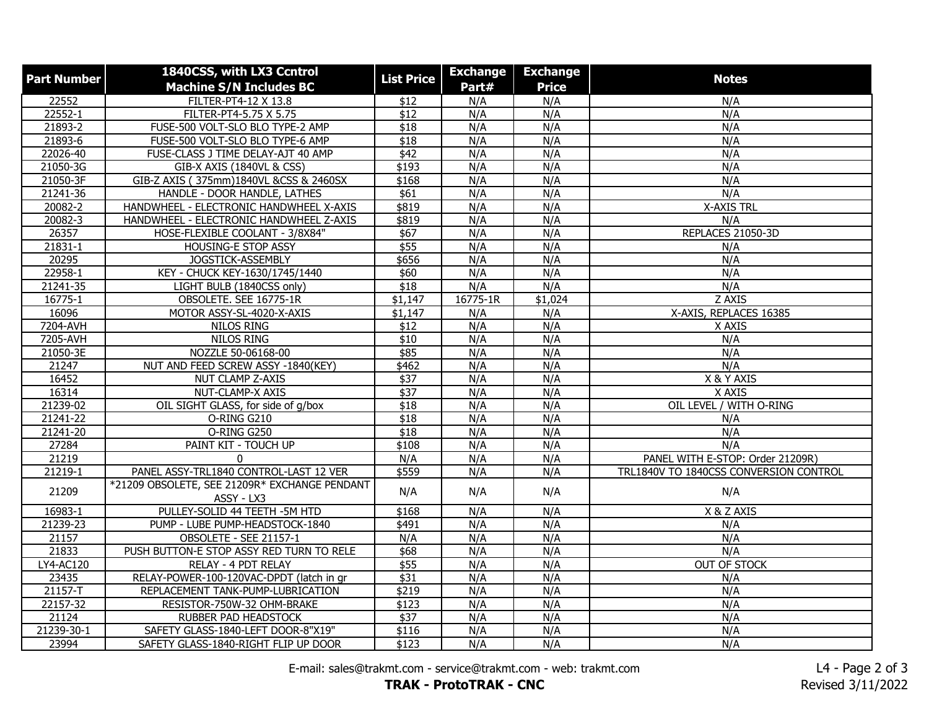| <b>Part Number</b> | 1840CSS, with LX3 Ccntrol<br><b>Machine S/N Includes BC</b> | <b>List Price</b> | <b>Exchange</b><br>Part# | <b>Exchange</b><br><b>Price</b> | <b>Notes</b>                           |
|--------------------|-------------------------------------------------------------|-------------------|--------------------------|---------------------------------|----------------------------------------|
| 22552              | FILTER-PT4-12 X 13.8                                        | \$12              | N/A                      | N/A                             | N/A                                    |
| 22552-1            | FILTER-PT4-5.75 X 5.75                                      | $\overline{$12}$  | N/A                      | N/A                             | N/A                                    |
| 21893-2            | FUSE-500 VOLT-SLO BLO TYPE-2 AMP                            | $\overline{$18}$  | N/A                      | N/A                             | N/A                                    |
| 21893-6            | FUSE-500 VOLT-SLO BLO TYPE-6 AMP                            | $\sqrt{$18}$      | N/A                      | N/A                             | N/A                                    |
| 22026-40           | FUSE-CLASS J TIME DELAY-AJT 40 AMP                          | $\sqrt{$42}$      | N/A                      | N/A                             | N/A                                    |
| 21050-3G           | GIB-X AXIS (1840VL & CSS)                                   | \$193             | N/A                      | N/A                             | N/A                                    |
| 21050-3F           | GIB-Z AXIS (375mm)1840VL &CSS & 2460SX                      | \$168             | N/A                      | N/A                             | N/A                                    |
| 21241-36           | HANDLE - DOOR HANDLE, LATHES                                | \$61              | N/A                      | N/A                             | N/A                                    |
| 20082-2            | HANDWHEEL - ELECTRONIC HANDWHEEL X-AXIS                     | \$819             | N/A                      | N/A                             | <b>X-AXIS TRL</b>                      |
| 20082-3            | HANDWHEEL - ELECTRONIC HANDWHEEL Z-AXIS                     | \$819             | N/A                      | N/A                             | N/A                                    |
| 26357              | HOSE-FLEXIBLE COOLANT - 3/8X84"                             | \$67              | N/A                      | N/A                             | REPLACES 21050-3D                      |
| 21831-1            | HOUSING-E STOP ASSY                                         | \$55              | N/A                      | N/A                             | N/A                                    |
| 20295              | JOGSTICK-ASSEMBLY                                           | \$656             | N/A                      | N/A                             | N/A                                    |
| 22958-1            | KEY - CHUCK KEY-1630/1745/1440                              | \$60              | N/A                      | N/A                             | N/A                                    |
| 21241-35           | LIGHT BULB (1840CSS only)                                   | $\overline{$18}$  | N/A                      | N/A                             | N/A                                    |
| 16775-1            | OBSOLETE. SEE 16775-1R                                      | \$1,147           | 16775-1R                 | \$1,024                         | Z AXIS                                 |
| 16096              | MOTOR ASSY-SL-4020-X-AXIS                                   | \$1,147           | N/A                      | N/A                             | X-AXIS, REPLACES 16385                 |
| 7204-AVH           | NILOS RING                                                  | \$12              | N/A                      | N/A                             | X AXIS                                 |
| 7205-AVH           | <b>NILOS RING</b>                                           | $\overline{$10}$  | N/A                      | N/A                             | N/A                                    |
| 21050-3E           | NOZZLE 50-06168-00                                          | \$85              | N/A                      | N/A                             | N/A                                    |
| 21247              | NUT AND FEED SCREW ASSY -1840(KEY)                          | \$462             | N/A                      | N/A                             | N/A                                    |
| 16452              | <b>NUT CLAMP Z-AXIS</b>                                     | \$37              | N/A                      | N/A                             | X & Y AXIS                             |
| 16314              | NUT-CLAMP-X AXIS                                            | \$37              | N/A                      | N/A                             | X AXIS                                 |
| 21239-02           | OIL SIGHT GLASS, for side of g/box                          | $\sqrt{$18}$      | N/A                      | N/A                             | OIL LEVEL / WITH O-RING                |
| 21241-22           | O-RING G210                                                 | \$18              | N/A                      | N/A                             | N/A                                    |
| 21241-20           | O-RING G250                                                 | \$18              | N/A                      | N/A                             | N/A                                    |
| 27284              | PAINT KIT - TOUCH UP                                        | \$108             | N/A                      | N/A                             | N/A                                    |
| 21219              | $\mathbf{0}$                                                | N/A               | N/A                      | N/A                             | PANEL WITH E-STOP: Order 21209R)       |
| 21219-1            | PANEL ASSY-TRL1840 CONTROL-LAST 12 VER                      | \$559             | N/A                      | N/A                             | TRL1840V TO 1840CSS CONVERSION CONTROL |
| 21209              | *21209 OBSOLETE, SEE 21209R* EXCHANGE PENDANT<br>ASSY - LX3 | N/A               | N/A                      | N/A                             | N/A                                    |
| 16983-1            | PULLEY-SOLID 44 TEETH - 5M HTD                              | \$168             | N/A                      | N/A                             | X & Z AXIS                             |
| 21239-23           | PUMP - LUBE PUMP-HEADSTOCK-1840                             | \$491             | N/A                      | N/A                             | N/A                                    |
| 21157              | OBSOLETE - SEE 21157-1                                      | N/A               | N/A                      | N/A                             | N/A                                    |
| 21833              | PUSH BUTTON-E STOP ASSY RED TURN TO RELE                    | \$68              | N/A                      | N/A                             | N/A                                    |
| LY4-AC120          | RELAY - 4 PDT RELAY                                         | \$55              | N/A                      | N/A                             | <b>OUT OF STOCK</b>                    |
| 23435              | RELAY-POWER-100-120VAC-DPDT (latch in gr                    | $\sqrt{$31}$      | N/A                      | N/A                             | N/A                                    |
| 21157-T            | REPLACEMENT TANK-PUMP-LUBRICATION                           | \$219             | N/A                      | N/A                             | N/A                                    |
| 22157-32           | RESISTOR-750W-32 OHM-BRAKE                                  | \$123             | N/A                      | N/A                             | N/A                                    |
| 21124              | RUBBER PAD HEADSTOCK                                        | $\sqrt{$37}$      | N/A                      | N/A                             | N/A                                    |
| 21239-30-1         | SAFETY GLASS-1840-LEFT DOOR-8"X19"                          | \$116             | N/A                      | N/A                             | N/A                                    |
| 23994              | SAFETY GLASS-1840-RIGHT FLIP UP DOOR                        | \$123             | N/A                      | N/A                             | N/A                                    |

E-mail: sales@trakmt.com - service@trakmt.com - web: trakmt.com